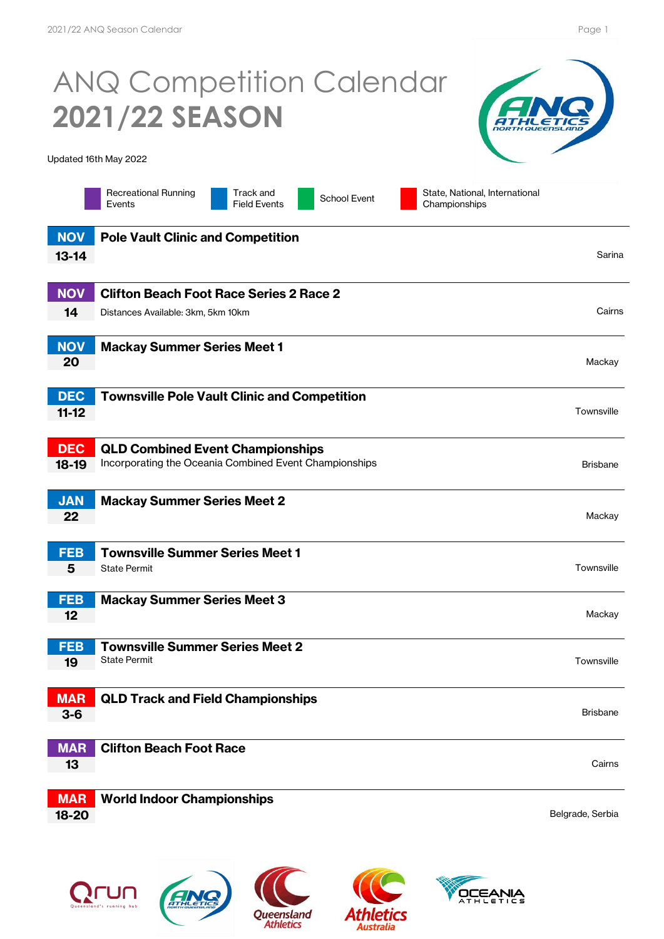## ANQ Competition Calendar **2021/22 SEASON**

Updated 16th May 2022



Track and Field Events

School Event State, National, International Championships

| <b>NOV</b> | <b>Pole Vault Clinic and Competition</b>               |                  |
|------------|--------------------------------------------------------|------------------|
| $13 - 14$  |                                                        | Sarina           |
|            |                                                        |                  |
| <b>NOV</b> | <b>Clifton Beach Foot Race Series 2 Race 2</b>         |                  |
| 14         | Distances Available: 3km, 5km 10km                     | Cairns           |
|            |                                                        |                  |
| <b>NOV</b> | <b>Mackay Summer Series Meet 1</b>                     |                  |
| 20         |                                                        | Mackay           |
|            |                                                        |                  |
| <b>DEC</b> | <b>Townsville Pole Vault Clinic and Competition</b>    |                  |
| $11-12$    |                                                        | Townsville       |
|            |                                                        |                  |
| <b>DEC</b> | <b>QLD Combined Event Championships</b>                |                  |
| $18-19$    | Incorporating the Oceania Combined Event Championships | <b>Brisbane</b>  |
|            |                                                        |                  |
| <b>JAN</b> | <b>Mackay Summer Series Meet 2</b>                     |                  |
| 22         |                                                        | Mackay           |
|            |                                                        |                  |
| <b>FEB</b> | <b>Townsville Summer Series Meet 1</b>                 |                  |
| 5          | <b>State Permit</b>                                    | Townsville       |
|            |                                                        |                  |
| <b>FEB</b> | <b>Mackay Summer Series Meet 3</b>                     |                  |
| 12         |                                                        | Mackay           |
| <b>FEB</b> | <b>Townsville Summer Series Meet 2</b>                 |                  |
| 19         | <b>State Permit</b>                                    | Townsville       |
|            |                                                        |                  |
| <b>MAR</b> | <b>QLD Track and Field Championships</b>               |                  |
| $3-6$      |                                                        | <b>Brisbane</b>  |
|            |                                                        |                  |
| <b>MAR</b> | <b>Clifton Beach Foot Race</b>                         |                  |
| 13         |                                                        | Cairns           |
|            |                                                        |                  |
| <b>MAR</b> | <b>World Indoor Championships</b>                      |                  |
| 18-20      |                                                        | Belgrade, Serbia |
|            |                                                        |                  |
|            |                                                        |                  |





**Athletics** 



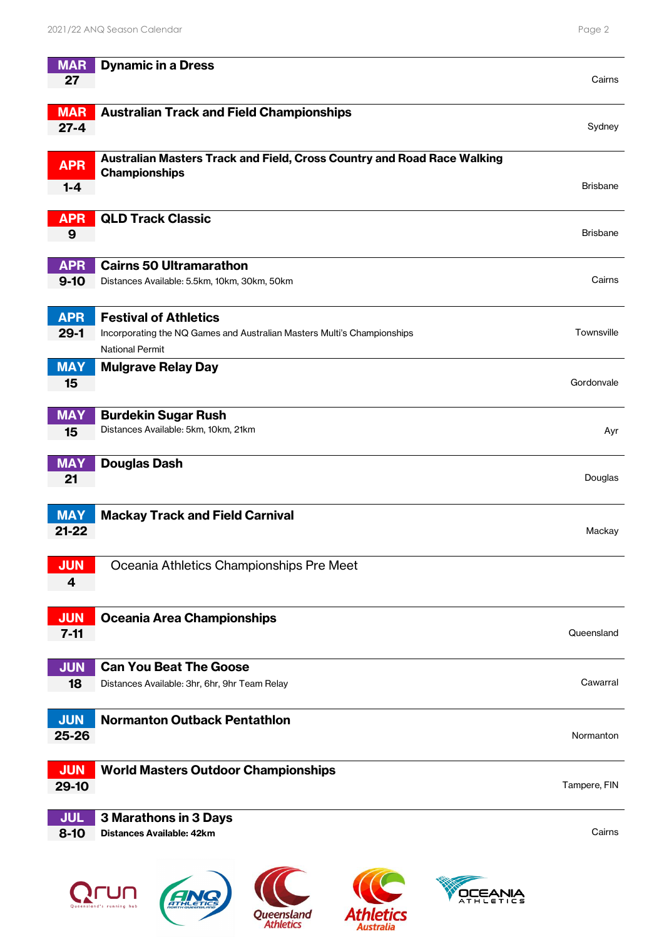| <b>MAR</b><br>27        | <b>Dynamic in a Dress</b>                                                                                                  | Cairns          |
|-------------------------|----------------------------------------------------------------------------------------------------------------------------|-----------------|
| <b>MAR</b><br>$27 - 4$  | <b>Australian Track and Field Championships</b>                                                                            | Sydney          |
| <b>APR</b><br>$1 - 4$   | Australian Masters Track and Field, Cross Country and Road Race Walking<br><b>Championships</b>                            | <b>Brisbane</b> |
| <b>APR</b><br>9         | <b>QLD Track Classic</b>                                                                                                   | <b>Brisbane</b> |
| <b>APR</b><br>$9 - 10$  | <b>Cairns 50 Ultramarathon</b><br>Distances Available: 5.5km, 10km, 30km, 50km                                             | Cairns          |
| <b>APR</b><br>$29-1$    | <b>Festival of Athletics</b><br>Incorporating the NQ Games and Australian Masters Multi's Championships<br>National Permit | Townsville      |
| <b>MAY</b><br>15        | <b>Mulgrave Relay Day</b>                                                                                                  | Gordonvale      |
| <b>MAY</b><br>15        | <b>Burdekin Sugar Rush</b><br>Distances Available: 5km, 10km, 21km                                                         | Ayr             |
| <b>MAY</b><br>21        | <b>Douglas Dash</b>                                                                                                        | Douglas         |
| <b>MAY</b><br>$21 - 22$ | <b>Mackay Track and Field Carnival</b>                                                                                     | Mackay          |
| <b>JUN</b><br>4         | Oceania Athletics Championships Pre Meet                                                                                   |                 |
| <b>JUN</b><br>$7 - 11$  | <b>Oceania Area Championships</b>                                                                                          | Queensland      |
| <b>JUN</b><br>18        | <b>Can You Beat The Goose</b><br>Distances Available: 3hr, 6hr, 9hr Team Relay                                             | Cawarral        |
| <b>JUN</b><br>25-26     | <b>Normanton Outback Pentathlon</b>                                                                                        | Normanton       |
| <b>JUN</b><br>29-10     | <b>World Masters Outdoor Championships</b>                                                                                 | Tampere, FIN    |
| <b>JUL</b><br>$8 - 10$  | 3 Marathons in 3 Days<br><b>Distances Available: 42km</b>                                                                  | Cairns          |
|                         | <b>ATHLETICS</b><br>Queensland<br>Athletics<br><b>Athletics</b>                                                            |                 |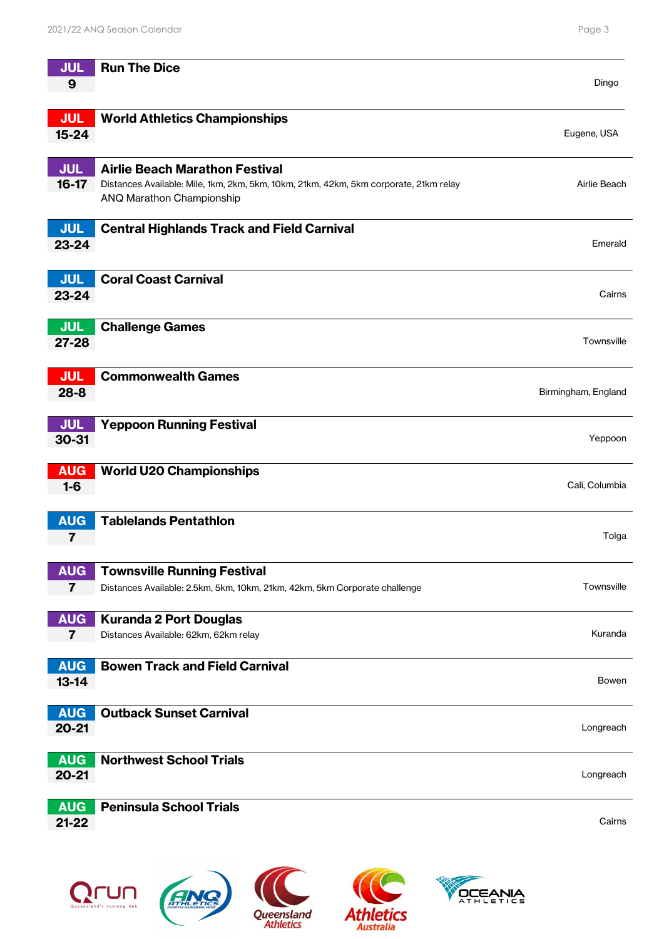| <b>JUL</b>                            | <b>Run The Dice</b>                                                                                                |                     |
|---------------------------------------|--------------------------------------------------------------------------------------------------------------------|---------------------|
| 9                                     |                                                                                                                    | Dingo               |
| <b>JUL</b>                            | <b>World Athletics Championships</b>                                                                               |                     |
| $15 - 24$                             |                                                                                                                    | Eugene, USA         |
|                                       |                                                                                                                    |                     |
| <b>JUL</b>                            | <b>Airlie Beach Marathon Festival</b>                                                                              |                     |
| $16-17$                               | Distances Available: Mile, 1km, 2km, 5km, 10km, 21km, 42km, 5km corporate, 21km relay<br>ANQ Marathon Championship | Airlie Beach        |
|                                       |                                                                                                                    |                     |
| <b>JUL</b>                            | <b>Central Highlands Track and Field Carnival</b>                                                                  |                     |
| 23-24                                 |                                                                                                                    | Emerald             |
| <b>JUL</b>                            | <b>Coral Coast Carnival</b>                                                                                        |                     |
| 23-24                                 |                                                                                                                    | Cairns              |
|                                       |                                                                                                                    |                     |
| <b>JUL</b><br>27-28                   | <b>Challenge Games</b>                                                                                             | Townsville          |
|                                       |                                                                                                                    |                     |
| <b>JUL</b>                            | <b>Commonwealth Games</b>                                                                                          |                     |
| $28 - 8$                              |                                                                                                                    | Birmingham, England |
|                                       |                                                                                                                    |                     |
| <b>JUL</b><br>30-31                   | <b>Yeppoon Running Festival</b>                                                                                    | Yeppoon             |
|                                       |                                                                                                                    |                     |
| <b>AUG</b>                            | <b>World U20 Championships</b>                                                                                     |                     |
| $1-6$                                 |                                                                                                                    | Cali, Columbia      |
| <b>AUG</b>                            | <b>Tablelands Pentathlon</b>                                                                                       |                     |
| 7                                     |                                                                                                                    | Tolga               |
|                                       |                                                                                                                    |                     |
| <b>AUG</b><br>$\overline{\mathbf{7}}$ | <b>Townsville Running Festival</b><br>Distances Available: 2.5km, 5km, 10km, 21km, 42km, 5km Corporate challenge   | Townsville          |
|                                       |                                                                                                                    |                     |
| <b>AUG</b>                            | <b>Kuranda 2 Port Douglas</b>                                                                                      |                     |
| $\overline{7}$                        | Distances Available: 62km, 62km relay                                                                              | Kuranda             |
| <b>AUG</b>                            | <b>Bowen Track and Field Carnival</b>                                                                              |                     |
| $13 - 14$                             |                                                                                                                    | Bowen               |
|                                       |                                                                                                                    |                     |
| <b>AUG</b><br>$20 - 21$               | <b>Outback Sunset Carnival</b>                                                                                     | Longreach           |
|                                       |                                                                                                                    |                     |
| <b>AUG</b>                            | <b>Northwest School Trials</b>                                                                                     |                     |
| $20 - 21$                             |                                                                                                                    | Longreach           |
| <b>AUG</b>                            | <b>Peninsula School Trials</b>                                                                                     |                     |
| $21 - 22$                             |                                                                                                                    | Cairns              |
|                                       |                                                                                                                    |                     |
|                                       |                                                                                                                    |                     |





Queensland<br>Athletics



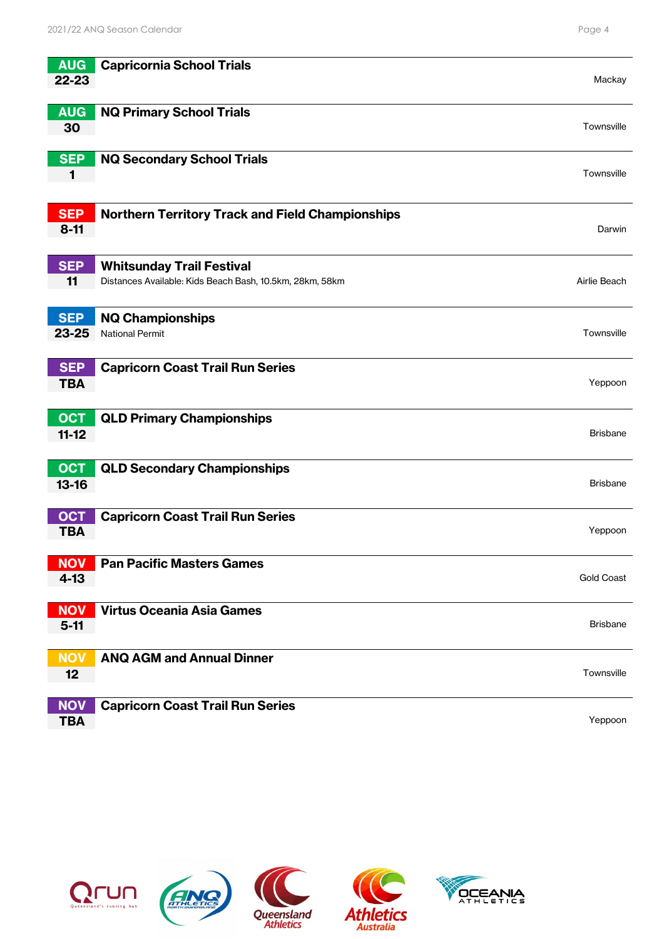| <b>AUG</b><br>22-23      | <b>Capricornia School Trials</b>                                                             | Mackay            |
|--------------------------|----------------------------------------------------------------------------------------------|-------------------|
| <b>AUG</b><br>30         | <b>NQ Primary School Trials</b>                                                              | Townsville        |
| <b>SEP</b><br>1          | <b>NQ Secondary School Trials</b>                                                            | Townsville        |
| <b>SEP</b><br>$8 - 11$   | <b>Northern Territory Track and Field Championships</b>                                      | Darwin            |
| <b>SEP</b><br>11         | <b>Whitsunday Trail Festival</b><br>Distances Available: Kids Beach Bash, 10.5km, 28km, 58km | Airlie Beach      |
| <b>SEP</b><br>23-25      | <b>NQ Championships</b><br><b>National Permit</b>                                            | Townsville        |
| <b>SEP</b><br><b>TBA</b> | <b>Capricorn Coast Trail Run Series</b>                                                      | Yeppoon           |
| <b>OCT</b><br>$11-12$    | <b>QLD Primary Championships</b>                                                             | <b>Brisbane</b>   |
| <b>OCT</b><br>$13 - 16$  | <b>QLD Secondary Championships</b>                                                           | <b>Brisbane</b>   |
| <b>OCT</b><br><b>TBA</b> | <b>Capricorn Coast Trail Run Series</b>                                                      | Yeppoon           |
| <b>NOV</b><br>$4 - 13$   | <b>Pan Pacific Masters Games</b>                                                             | <b>Gold Coast</b> |
| <b>NOV</b><br>$5-11$     | <b>Virtus Oceania Asia Games</b>                                                             | <b>Brisbane</b>   |
| <b>NOV</b><br>12         | <b>ANQ AGM and Annual Dinner</b>                                                             | Townsville        |
| <b>NOV</b><br><b>TBA</b> | <b>Capricorn Coast Trail Run Series</b>                                                      | Yeppoon           |